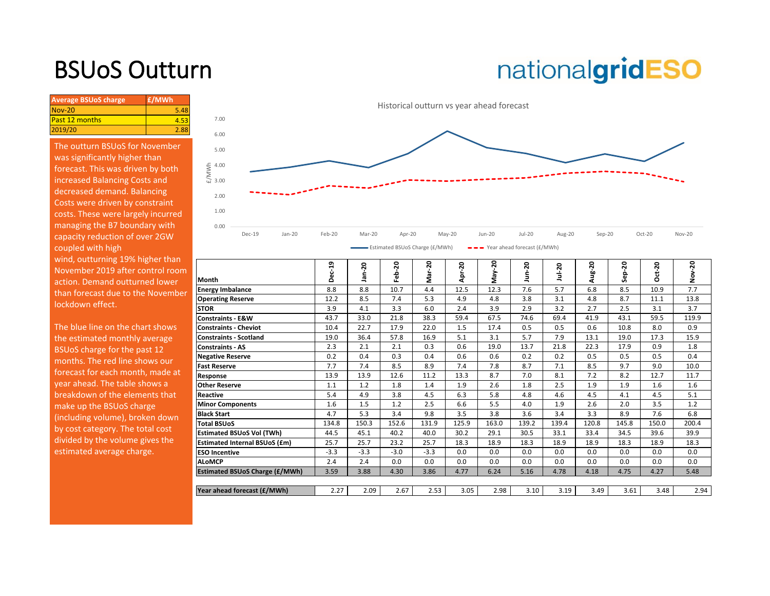## BSUoS Outturn

# nationalgridESO

| <b>Average BSUoS charge</b> | £/MWh |
|-----------------------------|-------|
| $Nov-20$                    | 5.48  |
| <b>Past 12 months</b>       | 4.53  |
| 2019/20                     | 2.88  |

The outturn BSUoS for November was significantly higher than forecast. This was driven by both increased Balancing Costs and decreased demand. Balancing Costs were driven by constraint costs. These were largely incurred managing the B7 boundary with capacity reduction of over 2GW coupled with high wind, outturning 19% higher than November 2019 after control room action. Demand outturned lower than forecast due to the November lockdown effect.



| wind, outturning 19% higher than  |                                       |        |        |        |          |        |       |       |        |       |       |          | 50       |
|-----------------------------------|---------------------------------------|--------|--------|--------|----------|--------|-------|-------|--------|-------|-------|----------|----------|
| November 2019 after control room  |                                       | ec-19  | ន      | -20    | $r - 20$ | $-20$  | នី    | 50    | Jul-20 | ug-20 | ន     | $Oct-20$ |          |
| action. Demand outturned lower    | Month                                 | n      | ൹      | 읍      | Ξ        | ᄘ<br>⋖ | γāγ   |       |        |       |       |          | ∠<br>Nov |
| than forecast due to the November | <b>Energy Imbalance</b>               | 8.8    | 8.8    | 10.7   | 4.4      | 12.5   | 12.3  | 7.6   | 5.7    | 6.8   | 8.5   | 10.9     | 7.7      |
|                                   | <b>Operating Reserve</b>              | 12.2   | 8.5    | 7.4    | 5.3      | 4.9    | 4.8   | 3.8   | 3.1    | 4.8   | 8.7   | 11.1     | 13.8     |
| lockdown effect.                  | <b>STOR</b>                           | 3.9    | 4.1    | 3.3    | 6.0      | 2.4    | 3.9   | 2.9   | 3.2    | 2.7   | 2.5   | 3.1      | 3.7      |
|                                   | <b>Constraints - E&amp;W</b>          | 43.7   | 33.0   | 21.8   | 38.3     | 59.4   | 67.5  | 74.6  | 69.4   | 41.9  | 43.1  | 59.5     | 119.9    |
| The blue line on the chart shows  | <b>Constraints - Cheviot</b>          | 10.4   | 22.7   | 17.9   | 22.0     | 1.5    | 17.4  | 0.5   | 0.5    | 0.6   | 10.8  | 8.0      | 0.9      |
| the estimated monthly average     | <b>Constraints - Scotland</b>         | 19.0   | 36.4   | 57.8   | 16.9     | 5.1    | 3.1   | 5.7   | 7.9    | 13.1  | 19.0  | 17.3     | 15.9     |
| BSUoS charge for the past 12      | <b>Constraints - AS</b>               | 2.3    | 2.1    | 2.1    | 0.3      | 0.6    | 19.0  | 13.7  | 21.8   | 22.3  | 17.9  | 0.9      | 1.8      |
| months. The red line shows our    | <b>Negative Reserve</b>               | 0.2    | 0.4    | 0.3    | 0.4      | 0.6    | 0.6   | 0.2   | 0.2    | 0.5   | 0.5   | 0.5      | 0.4      |
|                                   | <b>Fast Reserve</b>                   | 7.7    | 7.4    | 8.5    | 8.9      | 7.4    | 7.8   | 8.7   | 7.1    | 8.5   | 9.7   | 9.0      | 10.0     |
| forecast for each month, made at  | Response                              | 13.9   | 13.9   | 12.6   | 11.2     | 13.3   | 8.7   | 7.0   | 8.1    | 7.2   | 8.2   | 12.7     | 11.7     |
| year ahead. The table shows a     | <b>Other Reserve</b>                  | 1.1    | 1.2    | 1.8    | 1.4      | 1.9    | 2.6   | 1.8   | 2.5    | 1.9   | 1.9   | 1.6      | 1.6      |
| breakdown of the elements that    | <b>Reactive</b>                       | 5.4    | 4.9    | 3.8    | 4.5      | 6.3    | 5.8   | 4.8   | 4.6    | 4.5   | 4.1   | 4.5      | 5.1      |
| make up the BSUoS charge          | <b>Minor Components</b>               | 1.6    | 1.5    | 1.2    | 2.5      | 6.6    | 5.5   | 4.0   | 1.9    | 2.6   | 2.0   | 3.5      | 1.2      |
| (including volume), broken down   | <b>Black Start</b>                    | 4.7    | 5.3    | 3.4    | 9.8      | 3.5    | 3.8   | 3.6   | 3.4    | 3.3   | 8.9   | 7.6      | 6.8      |
| by cost category. The total cost  | <b>Total BSUoS</b>                    | 134.8  | 150.3  | 152.6  | 131.9    | 125.9  | 163.0 | 139.2 | 139.4  | 120.8 | 145.8 | 150.0    | 200.4    |
|                                   | <b>Estimated BSUoS Vol (TWh)</b>      | 44.5   | 45.1   | 40.2   | 40.0     | 30.2   | 29.1  | 30.5  | 33.1   | 33.4  | 34.5  | 39.6     | 39.9     |
| divided by the volume gives the   | <b>Estimated Internal BSUoS (£m)</b>  | 25.7   | 25.7   | 23.2   | 25.7     | 18.3   | 18.9  | 18.3  | 18.9   | 18.9  | 18.3  | 18.9     | 18.3     |
| estimated average charge.         | <b>ESO Incentive</b>                  | $-3.3$ | $-3.3$ | $-3.0$ | $-3.3$   | 0.0    | 0.0   | 0.0   | 0.0    | 0.0   | 0.0   | 0.0      | 0.0      |
|                                   | <b>ALoMCP</b>                         | 2.4    | 2.4    | 0.0    | 0.0      | 0.0    | 0.0   | 0.0   | 0.0    | 0.0   | 0.0   | 0.0      | 0.0      |
|                                   | <b>Estimated BSUoS Charge (£/MWh)</b> | 3.59   | 3.88   | 4.30   | 3.86     | 4.77   | 6.24  | 5.16  | 4.78   | 4.18  | 4.75  | 4.27     | 5.48     |
|                                   |                                       |        |        |        |          |        |       |       |        |       |       |          |          |
|                                   | Year ahead forecast (£/MWh)           | 2.27   | 2.09   | 2.67   | 2.53     | 3.05   | 2.98  | 3.10  | 3.19   | 3.49  | 3.61  | 3.48     | 2.94     |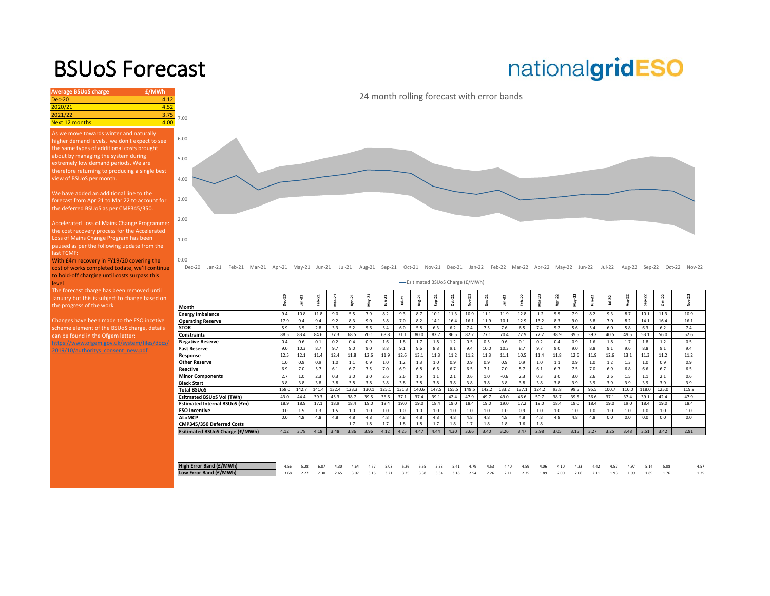### BSUoS Forecast

## nationalgridESO

| <b>Average BSUoS charge</b>                                                                                                                           | £/MWh |      |                      |
|-------------------------------------------------------------------------------------------------------------------------------------------------------|-------|------|----------------------|
| $Dec-20$                                                                                                                                              | 4.12  |      |                      |
| 2020/21                                                                                                                                               | 4.52  |      |                      |
| 2021/22                                                                                                                                               | 3.75  | 7.00 |                      |
| <b>Next 12 months</b>                                                                                                                                 | 4.00  |      |                      |
| As we move towards winter and naturally<br>higher demand levels, we don't expect to see<br>the same types of additional costs brought                 |       | 6.00 |                      |
| about by managing the system during<br>extremely low demand periods. We are                                                                           |       | 5.00 |                      |
| therefore returning to producing a single best<br>view of BSUoS per month.                                                                            |       | 4.00 |                      |
| We have added an additional line to the<br>forecast from Apr 21 to Mar 22 to account for<br>the deferred BSUoS as per CMP345/350.                     |       | 3.00 |                      |
| Accelerated Loss of Mains Change Programme:<br>the cost recovery process for the Accelerated                                                          |       | 2.00 |                      |
| Loss of Mains Change Program has been<br>paused as per the following update from the<br>last TCMF:                                                    |       | 1.00 |                      |
| With £4m recovery in FY19/20 covering the<br>cost of works completed todate, we'll continue<br>to hold-off charging until costs surpass this<br>level |       | 0.00 | $Dec-20$<br>$Jan-21$ |
| The forecast charge has been removed until<br>January but this is subject to change based on                                                          |       |      |                      |

January but this is subject to change based on the progress of the work.

Changes have been made to the ESO incetive scheme element of the BSUoS charge, details can be found in the Ofgem letter: https://www.ofgem.gov.uk/system/files/docs/

2019/10/authoritys\_consent\_new.pdf

Feb-21 Mar-21 Apr-21 May-21 Jun-21 Jul-21 Aug-21 Sep-21 Oct-21 Nov-21 Dec-21 Jan-22 Feb-22 Mar-22 Any-22 Aug-22 Jun-22 Aug-22 Sep-22 Oct-22 Nov-22

|                                  | -Esitimated BSUoS Charge (£/MWh) |        |         |        |       |            |              |          |        |                     |          |                        |          |         |         |            |      |            |        |          |          |            |        |       |  |
|----------------------------------|----------------------------------|--------|---------|--------|-------|------------|--------------|----------|--------|---------------------|----------|------------------------|----------|---------|---------|------------|------|------------|--------|----------|----------|------------|--------|-------|--|
|                                  | 20<br>å                          | $\sim$ | $ab-21$ | Mar-21 | ಸ     | 21<br>May- | $J$ un- $21$ | $u - 21$ | Aug-21 | $\overline{a}$<br>é | $Oct-21$ | $\overline{a}$<br>yov- | $Dec-21$ | 22<br>É | 22<br>ė | 22<br>Mar- | Z    | 22<br>Μaγ∹ | Jun-22 | $u - 22$ | $Aug-22$ | 22<br>Šep- | Z<br>8 | 22    |  |
| Month                            |                                  |        |         |        |       |            |              |          |        |                     |          |                        |          |         |         |            |      |            |        |          |          |            |        |       |  |
| <b>Energy Imbalance</b>          | 9.4                              | 10.8   | 11.8    | 9.0    | 5.5   | 7.9        | 8.2          | 9.3      | 8.7    | 10.1                | 11.3     | 10.9                   | 11.1     | 11.9    | 12.8    | $-1.2$     | 5.5  | 7.9        | 8.2    | 9.3      | 8.7      | 10.1       | 11.3   | 10.9  |  |
| <b>Operating Reserve</b>         | 17.9                             | 9.4    | 9.4     | 9.2    | 8.3   | 9.0        | 5.8          | 7.0      | 8.2    | 14.1                | 16.4     | 16.1                   | 11.9     | 10.1    | 12.9    | 13.2       | 8.3  | 9.0        | 5.8    | 7.0      | 8.2      | 14.1       | 16.4   | 16.1  |  |
| <b>STOR</b>                      | 5.9                              | 3.5    | 2.8     | 3.3    | 5.2   | 5.6        | 5.4          | 6.0      | 5.8    | 6.3                 | 6.2      | 7.4                    | 7.5      | 7.6     | 6.5     | 7.4        | 5.2  | 5.6        | 5.4    | 6.0      | 5.8      | 6.3        | 6.2    | 7.4   |  |
| <b>Constraints</b>               | 88.5                             | 83.4   | 84.6    | 77.3   | 68.5  | 70.1       | 68.8         | 71.1     | 80.0   | 82.7                | 86.5     | 82.2                   | 77.1     | 70.4    | 72.9    | 72.2       | 38.9 | 39.5       | 39.2   | 40.5     | 49.5     | 53.1       | 56.0   | 52.6  |  |
| <b>Negative Reserve</b>          | 0.4                              | 0.6    | 0.1     | 0.2    | 0.4   | 0.9        | 1.6          | 1.8      | 1.7    | 1.8                 | 1.2      | 0.5                    | 0.5      | 0.6     | 0.1     | 0.2        | 0.4  | 0.9        | 1.6    | 1.8      | 1.7      | 1.8        | 1.2    | 0.5   |  |
| <b>Fast Reserve</b>              | 9.0                              | 10.3   | 8.7     | 9.7    | 9.0   | 9.0        | 8.8          | 9.1      | 9.6    | 8.8                 | 9.1      | 9.4                    | 10.0     | 10.3    | 8.7     | 9.7        | 9.0  | 9.0        | 8.8    | 9.1      | 9.6      | 8.8        | 9.1    | 9.4   |  |
| Response                         | 12.5                             | 12.1   | 11.4    | 12.4   | 11.8  | 12.6       | 11.9         | 12.6     | 13.1   | 11.3                | 11.2     | 11.2                   | 11.3     | 11.1    | 10.5    | 11.4       | 11.8 | 12.6       | 11.9   | 12.6     | 13.1     | 11.3       | 11.2   | 11.2  |  |
| <b>Other Reserve</b>             | 1.0                              | 0.9    | 0.9     | 1.0    | 1.1   | 0.9        | 1.0          | 1.2      | 1.3    | 1.0                 | 0.9      | 0.9                    | 0.9      | 0.9     | 0.9     | 1.0        | 1.1  | 0.9        | 1.0    | 1.2      | 1.3      | 1.0        | 0.9    | 0.9   |  |
| Reactive                         | 6.9                              | 7.0    | 5.7     | 6.1    | 6.7   | 7.5        | 7.0          | 6.9      | 6.8    | 6.6                 | 6.7      | 6.5                    | 7.1      | 7.0     | 5.7     | 6.1        | 6.7  | 7.5        | 7.0    | 6.9      | 6.8      | 6.6        | 6.7    | 6.5   |  |
| <b>Minor Components</b>          | 2.7                              | 1.0    | 2.3     | 0.3    | 3.0   | 3.0        | 2.6          | 2.6      | 1.5    | 1.1                 | 2.1      | 0.6                    | 1.0      | $-0.6$  | 2.3     | 0.3        | 3.0  | 3.0        | 2.6    | 2.6      | 1.5      | 1.1        | 2.1    | 0.6   |  |
| <b>Black Start</b>               | 3.8                              | 3.8    | 3.8     | 3.8    | 3.8   | 3.8        | 3.8          | 3.8      | 3.8    | 3.8                 | 3.8      | 3.8                    | 3.8      | 3.8     | 3.8     | 3.8        | 3.8  | 3.9        | 3.9    | 3.9      | 3.9      | 3.9        | 3.9    | 3.9   |  |
| <b>Total BSUoS</b>               | 158.0                            | 142.7  | 141.4   | 132.4  | 123.3 | 130.1      | 125.1        | 131.3    | 140.6  | 147.5               | 155.5    | 149.5                  | 142.2    | 133.2   | 137.1   | 124.2      | 93.8 | 99.5       | 95.5   | 100.     | 110.0    | 118.0      | 125.0  | 119.9 |  |
| <b>Esitmated BSUoS Vol (TWh)</b> | 43.0                             | 44.4   | 39.3    | 45.3   | 38.7  | 39.5       | 36.6         | 37.1     | 37.4   | 39.1                | 42.4     | 47.9                   | 49.7     | 49.0    | 46.6    | 50.7       | 38.7 | 39.5       | 36.6   | 37.1     | 37.4     | 39.1       | 42.4   | 47.9  |  |
| Estimated Internal BSUoS (£m)    | 18.9                             | 18.9   | 17.1    | 18.9   | 18.4  | 19.0       | 18.4         | 19.0     | 19.0   | 18.4                | 19.0     | 18.4                   | 19.0     | 19.0    | 17.2    | 19.0       | 18.4 | 19.0       | 18.4   | 19.0     | 19.0     | 18.4       | 19.0   | 18.4  |  |
| <b>ESO Incentive</b>             | 0.0                              | 1.5    | 1.3     | 1.5    | 1.0   | 1.0        | 1.0          | 1.0      | 1.0    | 1.0                 | 1.0      | 1.0                    | 1.0      | 1.0     | 0.9     | 1.0        | 1.0  | 1.0        | 1.0    | 1.0      | 1.0      | 1.0        | 1.0    | 1.0   |  |
| <b>ALoMCP</b>                    | 0.0                              | 4.8    | 4.8     | 4.8    | 4.8   | 4.8        | 4.8          | 4.8      | 4.8    | 4.8                 | 4.8      | 4.8                    | 4.8      | 4.8     | 4.8     | 4.8        | 4.8  | 4.8        | 4.8    | 0.0      | 0.0      | 0.0        | 0.0    | 0.0   |  |
| CMP345/350 Deferred Costs        |                                  |        |         |        | 1.7   | 1.8        | 1.7          | 1.8      | 1.8    | 1.7                 | 1.8      | 1.7                    | 1.8      | 1.8     | 1.6     | 1.8        |      |            |        |          |          |            |        |       |  |
| Esitimated BSUoS Charge (£/MWh)  | 4.12                             | 3.78   | 4.18    | 3.48   | 3.86  | 3.96       | 4.12         | 4.25     | 4.47   | 4.44                | 4.30     | 3.66                   | 3.40     | 3.26    | 3.47    | 2.98       | 3.05 | 3.15       | 3.27   | 3.25     | 3.48     | 3.51       | 3.42   | 2.91  |  |
|                                  |                                  |        |         |        |       |            |              |          |        |                     |          |                        |          |         |         |            |      |            |        |          |          |            |        |       |  |

| High Error Band (£/MWh) | 4.56 5.28 | 6.07 |  |  |  |  |  | 4.30 4.64 4.77 5.03 5.26 5.55 5.53 5.41 4.79 4.53 4.40 4.59 4.06 4.10 4.23 4.42 4.57                     |  |  | 4.97 | 5.14 5.08 |  |
|-------------------------|-----------|------|--|--|--|--|--|----------------------------------------------------------------------------------------------------------|--|--|------|-----------|--|
| Low Error Band (£/MWh)  |           |      |  |  |  |  |  | 3.68 2.27 2.30 2.65 3.07 3.15 3.21 3.25 3.38 3.34 3.18 2.54 2.26 2.11 2.35 1.89 2.00 2.06 2.11 1.93 1.99 |  |  |      | 1.89      |  |

#### 24 month rolling forecast with error bands